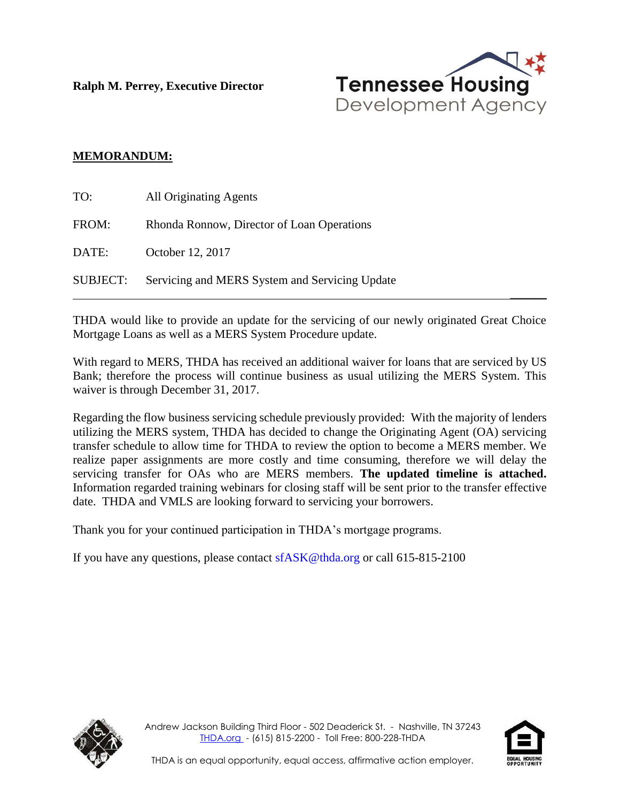**Ralph M. Perrey, Executive Director**



### **MEMORANDUM:**

| TO:             | <b>All Originating Agents</b>                  |
|-----------------|------------------------------------------------|
| FROM:           | Rhonda Ronnow, Director of Loan Operations     |
| DATE:           | October 12, 2017                               |
| <b>SUBJECT:</b> | Servicing and MERS System and Servicing Update |

THDA would like to provide an update for the servicing of our newly originated Great Choice Mortgage Loans as well as a MERS System Procedure update.

With regard to MERS, THDA has received an additional waiver for loans that are serviced by US Bank; therefore the process will continue business as usual utilizing the MERS System. This waiver is through December 31, 2017.

Regarding the flow business servicing schedule previously provided: With the majority of lenders utilizing the MERS system, THDA has decided to change the Originating Agent (OA) servicing transfer schedule to allow time for THDA to review the option to become a MERS member. We realize paper assignments are more costly and time consuming, therefore we will delay the servicing transfer for OAs who are MERS members. **The updated timeline is attached.** Information regarded training webinars for closing staff will be sent prior to the transfer effective date. THDA and VMLS are looking forward to servicing your borrowers.

Thank you for your continued participation in THDA's mortgage programs.

If you have any questions, please contact  $sfASK@thda.org$  or call 615-815-2100





 $\overline{\phantom{a}}$